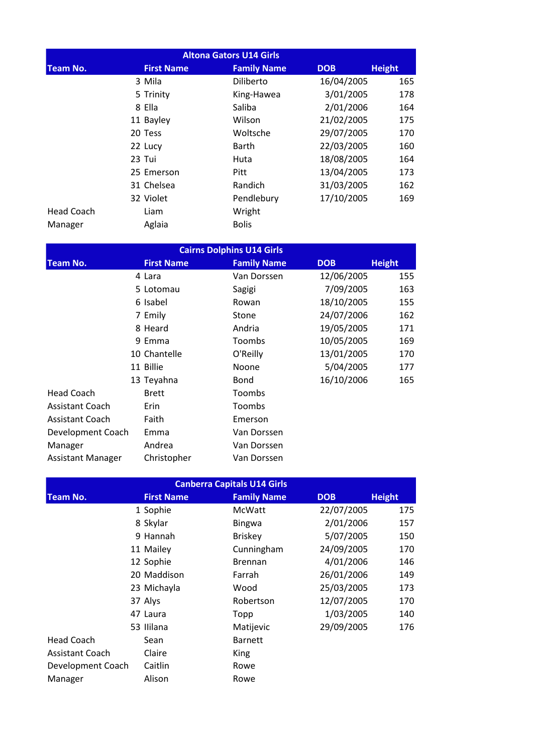| <b>Altona Gators U14 Girls</b> |                   |                    |            |               |  |  |
|--------------------------------|-------------------|--------------------|------------|---------------|--|--|
| <b>Team No.</b>                | <b>First Name</b> | <b>Family Name</b> | <b>DOB</b> | <b>Height</b> |  |  |
|                                | 3 Mila            | Diliberto          | 16/04/2005 | 165           |  |  |
|                                | 5 Trinity         | King-Hawea         | 3/01/2005  | 178           |  |  |
|                                | 8 Ella            | Saliba             | 2/01/2006  | 164           |  |  |
|                                | 11 Bayley         | Wilson             | 21/02/2005 | 175           |  |  |
|                                | 20 Tess           | Woltsche           | 29/07/2005 | 170           |  |  |
|                                | 22 Lucy           | Barth              | 22/03/2005 | 160           |  |  |
|                                | 23 Tui            | Huta               | 18/08/2005 | 164           |  |  |
|                                | 25 Emerson        | Pitt               | 13/04/2005 | 173           |  |  |
|                                | 31 Chelsea        | Randich            | 31/03/2005 | 162           |  |  |
|                                | 32 Violet         | Pendlebury         | 17/10/2005 | 169           |  |  |
| <b>Head Coach</b>              | Liam              | Wright             |            |               |  |  |
| Manager                        | Aglaia            | <b>Bolis</b>       |            |               |  |  |

| <b>Cairns Dolphins U14 Girls</b> |                   |                    |            |               |  |
|----------------------------------|-------------------|--------------------|------------|---------------|--|
| <b>Team No.</b>                  | <b>First Name</b> | <b>Family Name</b> | <b>DOB</b> | <b>Height</b> |  |
|                                  | 4 Lara            | Van Dorssen        | 12/06/2005 | 155           |  |
|                                  | 5 Lotomau         | Sagigi             | 7/09/2005  | 163           |  |
|                                  | 6 Isabel          | Rowan              | 18/10/2005 | 155           |  |
|                                  | 7 Emily           | Stone              | 24/07/2006 | 162           |  |
|                                  | 8 Heard           | Andria             | 19/05/2005 | 171           |  |
|                                  | 9 Emma            | Toombs             | 10/05/2005 | 169           |  |
|                                  | 10 Chantelle      | O'Reilly           | 13/01/2005 | 170           |  |
|                                  | 11 Billie         | Noone              | 5/04/2005  | 177           |  |
|                                  | 13 Teyahna        | <b>Bond</b>        | 16/10/2006 | 165           |  |
| <b>Head Coach</b>                | <b>Brett</b>      | Toombs             |            |               |  |
| <b>Assistant Coach</b>           | <b>Erin</b>       | Toombs             |            |               |  |
| <b>Assistant Coach</b>           | Faith             | Emerson            |            |               |  |
| Development Coach                | Emma              | Van Dorssen        |            |               |  |
| Manager                          | Andrea            | Van Dorssen        |            |               |  |
| <b>Assistant Manager</b>         | Christopher       | Van Dorssen        |            |               |  |

|                        | <b>Canberra Capitals U14 Girls</b> |                   |                    |            |               |  |  |
|------------------------|------------------------------------|-------------------|--------------------|------------|---------------|--|--|
| <b>Team No.</b>        |                                    | <b>First Name</b> | <b>Family Name</b> | <b>DOB</b> | <b>Height</b> |  |  |
|                        |                                    | 1 Sophie          | McWatt             | 22/07/2005 | 175           |  |  |
|                        |                                    | 8 Skylar          | <b>Bingwa</b>      | 2/01/2006  | 157           |  |  |
|                        |                                    | 9 Hannah          | <b>Briskey</b>     | 5/07/2005  | 150           |  |  |
|                        |                                    | 11 Mailey         | Cunningham         | 24/09/2005 | 170           |  |  |
|                        |                                    | 12 Sophie         | <b>Brennan</b>     | 4/01/2006  | 146           |  |  |
|                        |                                    | 20 Maddison       | Farrah             | 26/01/2006 | 149           |  |  |
|                        |                                    | 23 Michayla       | Wood               | 25/03/2005 | 173           |  |  |
|                        |                                    | 37 Alys           | Robertson          | 12/07/2005 | 170           |  |  |
|                        |                                    | 47 Laura          | Topp               | 1/03/2005  | 140           |  |  |
|                        |                                    | 53 Ililana        | Matijevic          | 29/09/2005 | 176           |  |  |
| <b>Head Coach</b>      |                                    | Sean              | <b>Barnett</b>     |            |               |  |  |
| <b>Assistant Coach</b> |                                    | Claire            | <b>King</b>        |            |               |  |  |
| Development Coach      |                                    | Caitlin           | Rowe               |            |               |  |  |
| Manager                |                                    | Alison            | Rowe               |            |               |  |  |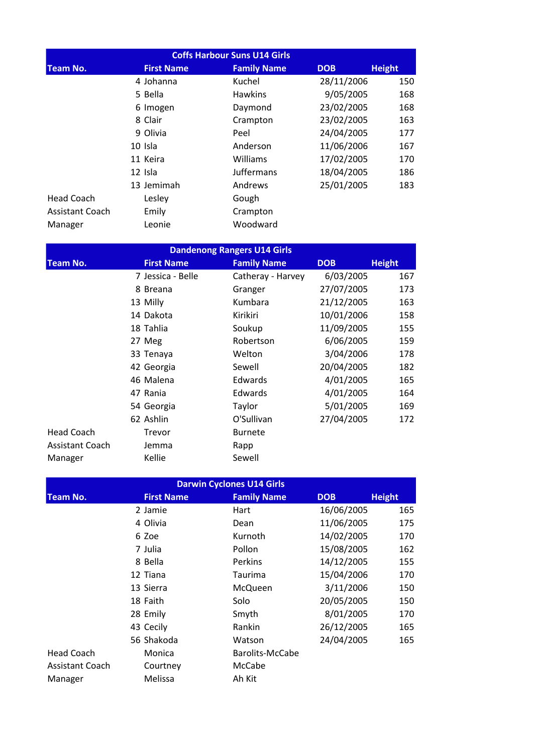| <b>Coffs Harbour Suns U14 Girls</b> |                   |                    |            |               |  |  |
|-------------------------------------|-------------------|--------------------|------------|---------------|--|--|
| <b>Team No.</b>                     | <b>First Name</b> | <b>Family Name</b> | <b>DOB</b> | <b>Height</b> |  |  |
|                                     | 4 Johanna         | Kuchel             | 28/11/2006 | 150           |  |  |
|                                     | 5 Bella           | <b>Hawkins</b>     | 9/05/2005  | 168           |  |  |
|                                     | 6 Imogen          | Daymond            | 23/02/2005 | 168           |  |  |
|                                     | 8 Clair           | Crampton           | 23/02/2005 | 163           |  |  |
|                                     | 9 Olivia          | Peel               | 24/04/2005 | 177           |  |  |
|                                     | 10 Isla           | Anderson           | 11/06/2006 | 167           |  |  |
|                                     | 11 Keira          | Williams           | 17/02/2005 | 170           |  |  |
|                                     | 12 Isla           | Juffermans         | 18/04/2005 | 186           |  |  |
|                                     | 13 Jemimah        | Andrews            | 25/01/2005 | 183           |  |  |
| <b>Head Coach</b>                   | Lesley            | Gough              |            |               |  |  |
| <b>Assistant Coach</b>              | Emily             | Crampton           |            |               |  |  |
| Manager                             | Leonie            | Woodward           |            |               |  |  |

| <b>Dandenong Rangers U14 Girls</b> |  |                   |  |                    |            |            |               |
|------------------------------------|--|-------------------|--|--------------------|------------|------------|---------------|
| <b>Team No.</b>                    |  | <b>First Name</b> |  | <b>Family Name</b> | <b>DOB</b> |            | <b>Height</b> |
|                                    |  | 7 Jessica - Belle |  | Catheray - Harvey  |            | 6/03/2005  | 167           |
|                                    |  | 8 Breana          |  | Granger            |            | 27/07/2005 | 173           |
|                                    |  | 13 Milly          |  | Kumbara            |            | 21/12/2005 | 163           |
|                                    |  | 14 Dakota         |  | Kirikiri           |            | 10/01/2006 | 158           |
|                                    |  | 18 Tahlia         |  | Soukup             |            | 11/09/2005 | 155           |
|                                    |  | 27 Meg            |  | Robertson          |            | 6/06/2005  | 159           |
|                                    |  | 33 Tenaya         |  | Welton             |            | 3/04/2006  | 178           |
|                                    |  | 42 Georgia        |  | Sewell             |            | 20/04/2005 | 182           |
|                                    |  | 46 Malena         |  | Edwards            |            | 4/01/2005  | 165           |
|                                    |  | 47 Rania          |  | <b>Edwards</b>     |            | 4/01/2005  | 164           |
|                                    |  | 54 Georgia        |  | Taylor             |            | 5/01/2005  | 169           |
|                                    |  | 62 Ashlin         |  | O'Sullivan         |            | 27/04/2005 | 172           |
| <b>Head Coach</b>                  |  | Trevor            |  | <b>Burnete</b>     |            |            |               |
| <b>Assistant Coach</b>             |  | Jemma             |  | Rapp               |            |            |               |
| Manager                            |  | Kellie            |  | Sewell             |            |            |               |

| <b>Darwin Cyclones U14 Girls</b> |                   |                    |            |               |  |  |
|----------------------------------|-------------------|--------------------|------------|---------------|--|--|
| <b>Team No.</b>                  | <b>First Name</b> | <b>Family Name</b> | <b>DOB</b> | <b>Height</b> |  |  |
|                                  | 2 Jamie           | Hart               | 16/06/2005 | 165           |  |  |
|                                  | 4 Olivia          | Dean               | 11/06/2005 | 175           |  |  |
|                                  | 6 Zoe             | Kurnoth            | 14/02/2005 | 170           |  |  |
|                                  | 7 Julia           | Pollon             | 15/08/2005 | 162           |  |  |
|                                  | 8 Bella           | <b>Perkins</b>     | 14/12/2005 | 155           |  |  |
|                                  | 12 Tiana          | Taurima            | 15/04/2006 | 170           |  |  |
|                                  | 13 Sierra         | McQueen            | 3/11/2006  | 150           |  |  |
|                                  | 18 Faith          | Solo               | 20/05/2005 | 150           |  |  |
|                                  | 28 Emily          | Smyth              | 8/01/2005  | 170           |  |  |
|                                  | 43 Cecily         | Rankin             | 26/12/2005 | 165           |  |  |
|                                  | 56 Shakoda        | Watson             | 24/04/2005 | 165           |  |  |
| <b>Head Coach</b>                | Monica            | Barolits-McCabe    |            |               |  |  |
| <b>Assistant Coach</b>           | Courtney          | McCabe             |            |               |  |  |
| Manager                          | Melissa           | Ah Kit             |            |               |  |  |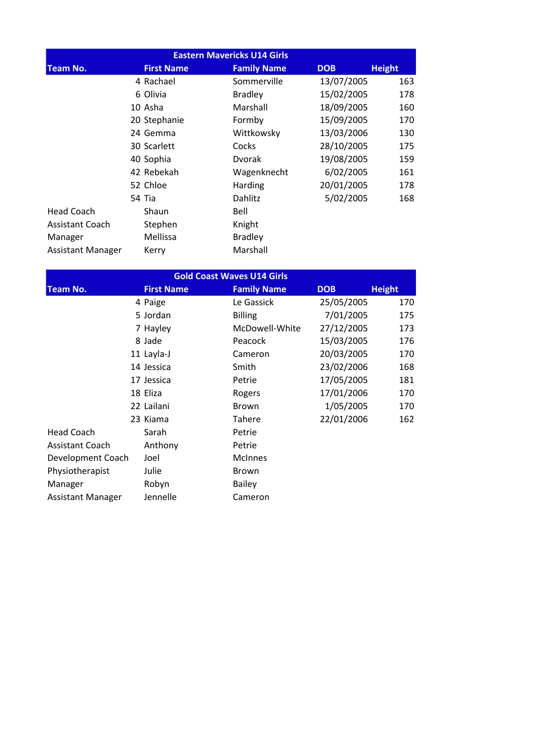| <b>Eastern Mavericks U14 Girls</b> |  |                   |                    |            |               |
|------------------------------------|--|-------------------|--------------------|------------|---------------|
| <b>Team No.</b>                    |  | <b>First Name</b> | <b>Family Name</b> | <b>DOB</b> | <b>Height</b> |
|                                    |  | 4 Rachael         | Sommerville        | 13/07/2005 | 163           |
|                                    |  | 6 Olivia          | <b>Bradley</b>     | 15/02/2005 | 178           |
|                                    |  | 10 Asha           | Marshall           | 18/09/2005 | 160           |
|                                    |  | 20 Stephanie      | Formby             | 15/09/2005 | 170           |
|                                    |  | 24 Gemma          | Wittkowsky         | 13/03/2006 | 130           |
|                                    |  | 30 Scarlett       | Cocks              | 28/10/2005 | 175           |
|                                    |  | 40 Sophia         | Dvorak             | 19/08/2005 | 159           |
|                                    |  | 42 Rebekah        | Wagenknecht        | 6/02/2005  | 161           |
|                                    |  | 52 Chloe          | Harding            | 20/01/2005 | 178           |
|                                    |  | 54 Tia            | Dahlitz            | 5/02/2005  | 168           |
| <b>Head Coach</b>                  |  | Shaun             | Bell               |            |               |
| <b>Assistant Coach</b>             |  | Stephen           | Knight             |            |               |
| Manager                            |  | <b>Mellissa</b>   | <b>Bradley</b>     |            |               |
| <b>Assistant Manager</b>           |  | Kerry             | Marshall           |            |               |

| <b>Gold Coast Waves U14 Girls</b> |                   |                    |            |               |  |
|-----------------------------------|-------------------|--------------------|------------|---------------|--|
| <b>Team No.</b>                   | <b>First Name</b> | <b>Family Name</b> | <b>DOB</b> | <b>Height</b> |  |
|                                   | 4 Paige           | Le Gassick         | 25/05/2005 | 170           |  |
|                                   | 5 Jordan          | <b>Billing</b>     | 7/01/2005  | 175           |  |
|                                   | 7 Hayley          | McDowell-White     | 27/12/2005 | 173           |  |
|                                   | 8 Jade            | Peacock            | 15/03/2005 | 176           |  |
|                                   | 11 Layla-J        | Cameron            | 20/03/2005 | 170           |  |
|                                   | 14 Jessica        | Smith              | 23/02/2006 | 168           |  |
|                                   | 17 Jessica        | Petrie             | 17/05/2005 | 181           |  |
|                                   | 18 Eliza          | Rogers             | 17/01/2006 | 170           |  |
|                                   | 22 Lailani        | <b>Brown</b>       | 1/05/2005  | 170           |  |
|                                   | 23 Kiama          | Tahere             | 22/01/2006 | 162           |  |
| <b>Head Coach</b>                 | Sarah             | Petrie             |            |               |  |
| Assistant Coach                   | Anthony           | Petrie             |            |               |  |
| Development Coach                 | Joel              | <b>McInnes</b>     |            |               |  |
| Physiotherapist                   | Julie             | <b>Brown</b>       |            |               |  |
| Manager                           | Robyn             | <b>Bailey</b>      |            |               |  |
| <b>Assistant Manager</b>          | Jennelle          | Cameron            |            |               |  |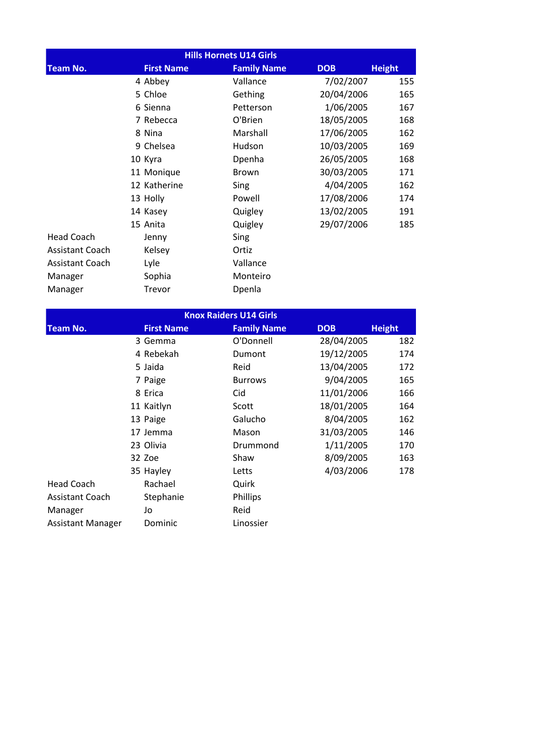| <b>Hills Hornets U14 Girls</b> |                   |                    |            |               |  |  |
|--------------------------------|-------------------|--------------------|------------|---------------|--|--|
| <b>Team No.</b>                | <b>First Name</b> | <b>Family Name</b> | <b>DOB</b> | <b>Height</b> |  |  |
|                                | 4 Abbey           | Vallance           | 7/02/2007  | 155           |  |  |
|                                | 5 Chloe           | Gething            | 20/04/2006 | 165           |  |  |
|                                | 6 Sienna          | Petterson          | 1/06/2005  | 167           |  |  |
|                                | 7 Rebecca         | O'Brien            | 18/05/2005 | 168           |  |  |
|                                | 8 Nina            | Marshall           | 17/06/2005 | 162           |  |  |
|                                | 9 Chelsea         | Hudson             | 10/03/2005 | 169           |  |  |
|                                | 10 Kyra           | Dpenha             | 26/05/2005 | 168           |  |  |
|                                | 11 Monique        | Brown              | 30/03/2005 | 171           |  |  |
|                                | 12 Katherine      | Sing               | 4/04/2005  | 162           |  |  |
|                                | 13 Holly          | Powell             | 17/08/2006 | 174           |  |  |
|                                | 14 Kasey          | Quigley            | 13/02/2005 | 191           |  |  |
|                                | 15 Anita          | Quigley            | 29/07/2006 | 185           |  |  |
| <b>Head Coach</b>              | Jenny             | Sing               |            |               |  |  |
| <b>Assistant Coach</b>         | Kelsey            | Ortiz              |            |               |  |  |
| <b>Assistant Coach</b>         | Lyle              | Vallance           |            |               |  |  |
| Manager                        | Sophia            | Monteiro           |            |               |  |  |
| Manager                        | Trevor            | Dpenla             |            |               |  |  |

| <b>Knox Raiders U14 Girls</b> |  |                   |                    |            |               |
|-------------------------------|--|-------------------|--------------------|------------|---------------|
| <b>Team No.</b>               |  | <b>First Name</b> | <b>Family Name</b> | <b>DOB</b> | <b>Height</b> |
|                               |  | 3 Gemma           | O'Donnell          | 28/04/2005 | 182           |
|                               |  | 4 Rebekah         | Dumont             | 19/12/2005 | 174           |
|                               |  | 5 Jaida           | Reid               | 13/04/2005 | 172           |
|                               |  | 7 Paige           | <b>Burrows</b>     | 9/04/2005  | 165           |
|                               |  | 8 Erica           | Cid                | 11/01/2006 | 166           |
|                               |  | 11 Kaitlyn        | Scott              | 18/01/2005 | 164           |
|                               |  | 13 Paige          | Galucho            | 8/04/2005  | 162           |
|                               |  | 17 Jemma          | Mason              | 31/03/2005 | 146           |
|                               |  | 23 Olivia         | Drummond           | 1/11/2005  | 170           |
|                               |  | 32 Zoe            | Shaw               | 8/09/2005  | 163           |
|                               |  | 35 Hayley         | Letts              | 4/03/2006  | 178           |
| Head Coach                    |  | Rachael           | Quirk              |            |               |
| Assistant Coach               |  | Stephanie         | Phillips           |            |               |
| Manager                       |  | Jo                | Reid               |            |               |
| Assistant Manager             |  | Dominic           | Linossier          |            |               |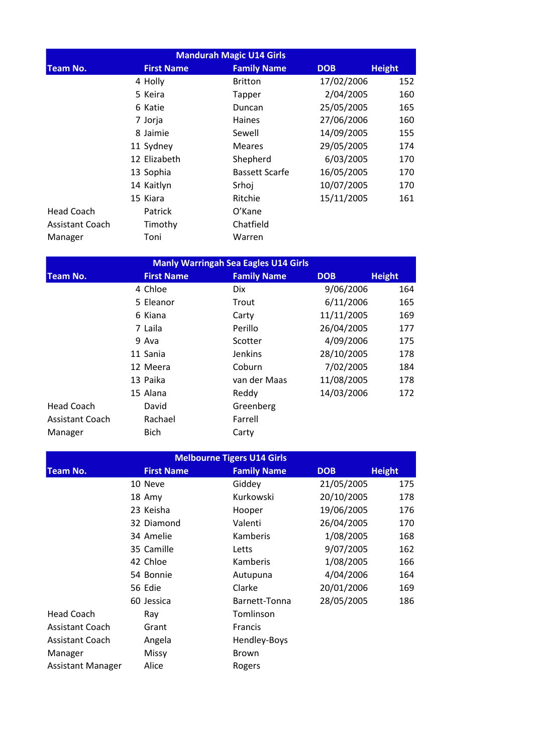| <b>Mandurah Magic U14 Girls</b> |                   |                       |            |               |  |  |
|---------------------------------|-------------------|-----------------------|------------|---------------|--|--|
| <b>Team No.</b>                 | <b>First Name</b> | <b>Family Name</b>    | <b>DOB</b> | <b>Height</b> |  |  |
|                                 | 4 Holly           | <b>Britton</b>        | 17/02/2006 | 152           |  |  |
|                                 | 5 Keira           | Tapper                | 2/04/2005  | 160           |  |  |
|                                 | 6 Katie           | Duncan                | 25/05/2005 | 165           |  |  |
|                                 | 7 Jorja           | <b>Haines</b>         | 27/06/2006 | 160           |  |  |
|                                 | 8 Jaimie          | Sewell                | 14/09/2005 | 155           |  |  |
|                                 | 11 Sydney         | <b>Meares</b>         | 29/05/2005 | 174           |  |  |
|                                 | 12 Elizabeth      | Shepherd              | 6/03/2005  | 170           |  |  |
|                                 | 13 Sophia         | <b>Bassett Scarfe</b> | 16/05/2005 | 170           |  |  |
|                                 | 14 Kaitlyn        | Srhoj                 | 10/07/2005 | 170           |  |  |
|                                 | 15 Kiara          | Ritchie               | 15/11/2005 | 161           |  |  |
| <b>Head Coach</b>               | Patrick           | O'Kane                |            |               |  |  |
| <b>Assistant Coach</b>          | Timothy           | Chatfield             |            |               |  |  |
| Manager                         | Toni              | Warren                |            |               |  |  |

| <b>Manly Warringah Sea Eagles U14 Girls</b> |  |                   |                    |            |               |  |
|---------------------------------------------|--|-------------------|--------------------|------------|---------------|--|
| <b>Team No.</b>                             |  | <b>First Name</b> | <b>Family Name</b> | <b>DOB</b> | <b>Height</b> |  |
|                                             |  | 4 Chloe           | <b>Dix</b>         | 9/06/2006  | 164           |  |
|                                             |  | 5 Eleanor         | Trout              | 6/11/2006  | 165           |  |
|                                             |  | 6 Kiana           | Carty              | 11/11/2005 | 169           |  |
|                                             |  | 7 Laila           | Perillo            | 26/04/2005 | 177           |  |
|                                             |  | 9 Ava             | Scotter            | 4/09/2006  | 175           |  |
|                                             |  | 11 Sania          | <b>Jenkins</b>     | 28/10/2005 | 178           |  |
|                                             |  | 12 Meera          | Coburn             | 7/02/2005  | 184           |  |
|                                             |  | 13 Paika          | van der Maas       | 11/08/2005 | 178           |  |
|                                             |  | 15 Alana          | Reddy              | 14/03/2006 | 172           |  |
| <b>Head Coach</b>                           |  | David             | Greenberg          |            |               |  |
| <b>Assistant Coach</b>                      |  | Rachael           | Farrell            |            |               |  |
| Manager                                     |  | <b>Bich</b>       | Carty              |            |               |  |

| <b>Melbourne Tigers U14 Girls</b> |  |                   |                    |            |               |  |  |
|-----------------------------------|--|-------------------|--------------------|------------|---------------|--|--|
| <b>Team No.</b>                   |  | <b>First Name</b> | <b>Family Name</b> | <b>DOB</b> | <b>Height</b> |  |  |
|                                   |  | 10 Neve           | Giddey             | 21/05/2005 | 175           |  |  |
|                                   |  | 18 Amy            | Kurkowski          | 20/10/2005 | 178           |  |  |
|                                   |  | 23 Keisha         | Hooper             | 19/06/2005 | 176           |  |  |
|                                   |  | 32 Diamond        | Valenti            | 26/04/2005 | 170           |  |  |
|                                   |  | 34 Amelie         | Kamberis           | 1/08/2005  | 168           |  |  |
|                                   |  | 35 Camille        | Letts              | 9/07/2005  | 162           |  |  |
|                                   |  | 42 Chloe          | Kamberis           | 1/08/2005  | 166           |  |  |
|                                   |  | 54 Bonnie         | Autupuna           | 4/04/2006  | 164           |  |  |
|                                   |  | 56 Edie           | Clarke             | 20/01/2006 | 169           |  |  |
|                                   |  | 60 Jessica        | Barnett-Tonna      | 28/05/2005 | 186           |  |  |
| <b>Head Coach</b>                 |  | Ray               | Tomlinson          |            |               |  |  |
| <b>Assistant Coach</b>            |  | Grant             | <b>Francis</b>     |            |               |  |  |
| <b>Assistant Coach</b>            |  | Angela            | Hendley-Boys       |            |               |  |  |
| Manager                           |  | Missy             | <b>Brown</b>       |            |               |  |  |
| <b>Assistant Manager</b>          |  | Alice             | Rogers             |            |               |  |  |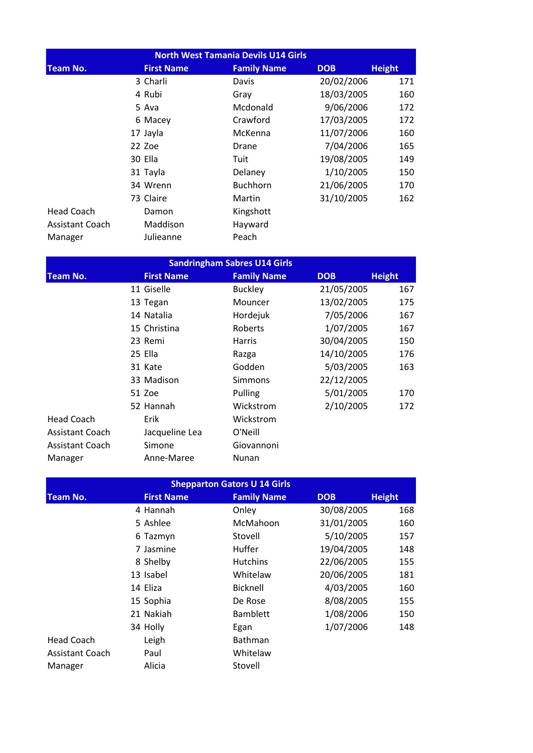| North West Tamania Devils U14 Girls |                   |                    |            |               |  |  |
|-------------------------------------|-------------------|--------------------|------------|---------------|--|--|
| <b>Team No.</b>                     | <b>First Name</b> | <b>Family Name</b> | <b>DOB</b> | <b>Height</b> |  |  |
|                                     | 3 Charli          | Davis              | 20/02/2006 | 171           |  |  |
|                                     | 4 Rubi            | Gray               | 18/03/2005 | 160           |  |  |
|                                     | 5 Ava             | Mcdonald           | 9/06/2006  | 172           |  |  |
|                                     | 6 Macey           | Crawford           | 17/03/2005 | 172           |  |  |
|                                     | 17 Jayla          | McKenna            | 11/07/2006 | 160           |  |  |
|                                     | 22 Zoe            | Drane              | 7/04/2006  | 165           |  |  |
|                                     | 30 Ella           | Tuit               | 19/08/2005 | 149           |  |  |
|                                     | 31 Tayla          | Delaney            | 1/10/2005  | 150           |  |  |
|                                     | 34 Wrenn          | <b>Buchhorn</b>    | 21/06/2005 | 170           |  |  |
|                                     | 73 Claire         | Martin             | 31/10/2005 | 162           |  |  |
| <b>Head Coach</b>                   | Damon             | Kingshott          |            |               |  |  |
| <b>Assistant Coach</b>              | Maddison          | Hayward            |            |               |  |  |
| Manager                             | Julieanne         | Peach              |            |               |  |  |

| <b>Sandringham Sabres U14 Girls</b> |                   |                    |            |               |  |  |
|-------------------------------------|-------------------|--------------------|------------|---------------|--|--|
| <b>Team No.</b>                     | <b>First Name</b> | <b>Family Name</b> | <b>DOB</b> | <b>Height</b> |  |  |
|                                     | 11 Giselle        | <b>Buckley</b>     | 21/05/2005 | 167           |  |  |
|                                     | 13 Tegan          | Mouncer            | 13/02/2005 | 175           |  |  |
|                                     | 14 Natalia        | Hordejuk           | 7/05/2006  | 167           |  |  |
|                                     | 15 Christina      | Roberts            | 1/07/2005  | 167           |  |  |
|                                     | 23 Remi           | <b>Harris</b>      | 30/04/2005 | 150           |  |  |
|                                     | 25 Ella           | Razga              | 14/10/2005 | 176           |  |  |
|                                     | 31 Kate           | Godden             | 5/03/2005  | 163           |  |  |
|                                     | 33 Madison        | <b>Simmons</b>     | 22/12/2005 |               |  |  |
|                                     | 51 Zoe            | Pulling            | 5/01/2005  | 170           |  |  |
|                                     | 52 Hannah         | Wickstrom          | 2/10/2005  | 172           |  |  |
| <b>Head Coach</b>                   | Erik              | Wickstrom          |            |               |  |  |
| <b>Assistant Coach</b>              | Jacqueline Lea    | O'Neill            |            |               |  |  |
| Assistant Coach                     | Simone            | Giovannoni         |            |               |  |  |
| Manager                             | Anne-Maree        | Nunan              |            |               |  |  |

| <b>Shepparton Gators U 14 Girls</b> |                   |                    |            |               |  |  |  |
|-------------------------------------|-------------------|--------------------|------------|---------------|--|--|--|
| <b>Team No.</b>                     | <b>First Name</b> | <b>Family Name</b> | <b>DOB</b> | <b>Height</b> |  |  |  |
|                                     | 4 Hannah          | Onley              | 30/08/2005 | 168           |  |  |  |
|                                     | 5 Ashlee          | McMahoon           | 31/01/2005 | 160           |  |  |  |
|                                     | 6 Tazmyn          | Stovell            | 5/10/2005  | 157           |  |  |  |
|                                     | 7 Jasmine         | Huffer             | 19/04/2005 | 148           |  |  |  |
|                                     | 8 Shelby          | <b>Hutchins</b>    | 22/06/2005 | 155           |  |  |  |
|                                     | 13 Isabel         | Whitelaw           | 20/06/2005 | 181           |  |  |  |
|                                     | 14 Eliza          | <b>Bicknell</b>    | 4/03/2005  | 160           |  |  |  |
|                                     | 15 Sophia         | De Rose            | 8/08/2005  | 155           |  |  |  |
|                                     | 21 Nakiah         | <b>Bamblett</b>    | 1/08/2006  | 150           |  |  |  |
|                                     | 34 Holly          | Egan               | 1/07/2006  | 148           |  |  |  |
| <b>Head Coach</b>                   | Leigh             | Bathman            |            |               |  |  |  |
| <b>Assistant Coach</b>              | Paul              | Whitelaw           |            |               |  |  |  |
| Manager                             | Alicia            | Stovell            |            |               |  |  |  |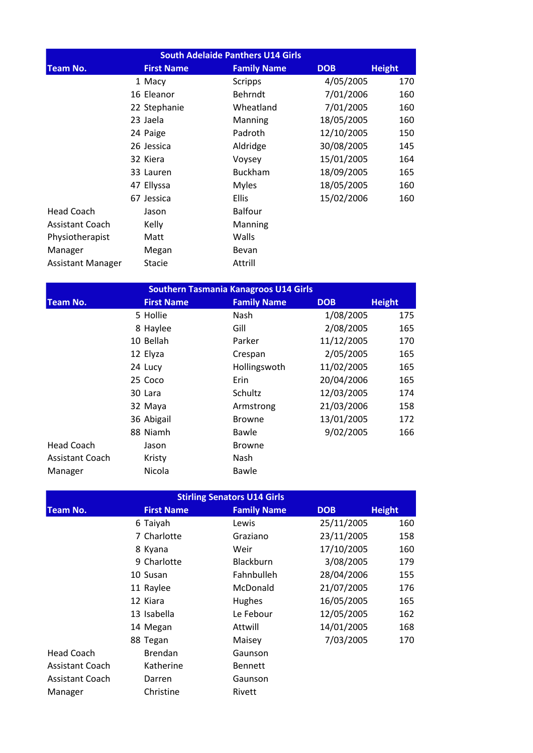| <b>South Adelaide Panthers U14 Girls</b> |  |                   |  |                    |  |            |               |
|------------------------------------------|--|-------------------|--|--------------------|--|------------|---------------|
| <b>Team No.</b>                          |  | <b>First Name</b> |  | <b>Family Name</b> |  | <b>DOB</b> | <b>Height</b> |
|                                          |  | 1 Macy            |  | <b>Scripps</b>     |  | 4/05/2005  | 170           |
|                                          |  | 16 Eleanor        |  | <b>Behrndt</b>     |  | 7/01/2006  | 160           |
|                                          |  | 22 Stephanie      |  | Wheatland          |  | 7/01/2005  | 160           |
|                                          |  | 23 Jaela          |  | Manning            |  | 18/05/2005 | 160           |
|                                          |  | 24 Paige          |  | Padroth            |  | 12/10/2005 | 150           |
|                                          |  | 26 Jessica        |  | Aldridge           |  | 30/08/2005 | 145           |
|                                          |  | 32 Kiera          |  | Voysey             |  | 15/01/2005 | 164           |
|                                          |  | 33 Lauren         |  | <b>Buckham</b>     |  | 18/09/2005 | 165           |
|                                          |  | 47 Ellyssa        |  | <b>Myles</b>       |  | 18/05/2005 | 160           |
|                                          |  | 67 Jessica        |  | <b>Ellis</b>       |  | 15/02/2006 | 160           |
| <b>Head Coach</b>                        |  | Jason             |  | <b>Balfour</b>     |  |            |               |
| <b>Assistant Coach</b>                   |  | Kelly             |  | Manning            |  |            |               |
| Physiotherapist                          |  | Matt              |  | Walls              |  |            |               |
| Manager                                  |  | Megan             |  | Bevan              |  |            |               |
| <b>Assistant Manager</b>                 |  | <b>Stacie</b>     |  | Attrill            |  |            |               |

| <b>Southern Tasmania Kanagroos U14 Girls</b> |                   |                    |            |               |  |  |
|----------------------------------------------|-------------------|--------------------|------------|---------------|--|--|
| <b>Team No.</b>                              | <b>First Name</b> | <b>Family Name</b> | <b>DOB</b> | <b>Height</b> |  |  |
|                                              | 5 Hollie          | Nash               | 1/08/2005  | 175           |  |  |
|                                              | 8 Haylee          | Gill               | 2/08/2005  | 165           |  |  |
|                                              | 10 Bellah         | Parker             | 11/12/2005 | 170           |  |  |
|                                              | 12 Elyza          | Crespan            | 2/05/2005  | 165           |  |  |
|                                              | 24 Lucy           | Hollingswoth       | 11/02/2005 | 165           |  |  |
|                                              | 25 Coco           | Erin               | 20/04/2006 | 165           |  |  |
|                                              | 30 Lara           | Schultz            | 12/03/2005 | 174           |  |  |
|                                              | 32 Maya           | Armstrong          | 21/03/2006 | 158           |  |  |
|                                              | 36 Abigail        | <b>Browne</b>      | 13/01/2005 | 172           |  |  |
|                                              | 88 Niamh          | Bawle              | 9/02/2005  | 166           |  |  |
| <b>Head Coach</b>                            | Jason             | <b>Browne</b>      |            |               |  |  |
| <b>Assistant Coach</b>                       | Kristy            | Nash               |            |               |  |  |
| Manager                                      | Nicola            | Bawle              |            |               |  |  |

| <b>Stirling Senators U14 Girls</b> |                   |                    |            |               |  |  |  |
|------------------------------------|-------------------|--------------------|------------|---------------|--|--|--|
| <b>Team No.</b>                    | <b>First Name</b> | <b>Family Name</b> | <b>DOB</b> | <b>Height</b> |  |  |  |
|                                    | 6 Taiyah          | Lewis              | 25/11/2005 | 160           |  |  |  |
|                                    | 7 Charlotte       | Graziano           | 23/11/2005 | 158           |  |  |  |
|                                    | 8 Kyana           | Weir               | 17/10/2005 | 160           |  |  |  |
|                                    | 9 Charlotte       | Blackburn          | 3/08/2005  | 179           |  |  |  |
|                                    | 10 Susan          | Fahnbulleh         | 28/04/2006 | 155           |  |  |  |
|                                    | 11 Raylee         | McDonald           | 21/07/2005 | 176           |  |  |  |
|                                    | 12 Kiara          | <b>Hughes</b>      | 16/05/2005 | 165           |  |  |  |
|                                    | 13 Isabella       | Le Febour          | 12/05/2005 | 162           |  |  |  |
|                                    | 14 Megan          | Attwill            | 14/01/2005 | 168           |  |  |  |
|                                    | 88 Tegan          | Maisey             | 7/03/2005  | 170           |  |  |  |
| Head Coach                         | <b>Brendan</b>    | Gaunson            |            |               |  |  |  |
| <b>Assistant Coach</b>             | Katherine         | <b>Bennett</b>     |            |               |  |  |  |
| <b>Assistant Coach</b>             | Darren            | Gaunson            |            |               |  |  |  |
| Manager                            | Christine         | Rivett             |            |               |  |  |  |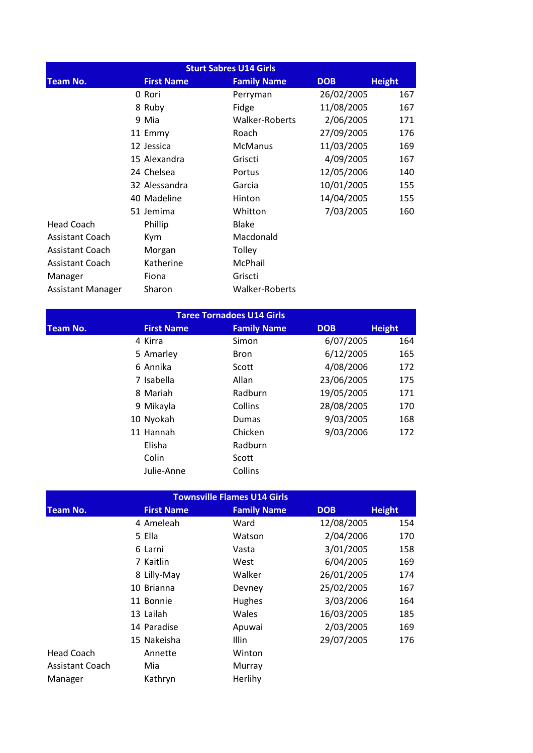| <b>Sturt Sabres U14 Girls</b> |                   |                    |            |               |  |  |
|-------------------------------|-------------------|--------------------|------------|---------------|--|--|
| <b>Team No.</b>               | <b>First Name</b> | <b>Family Name</b> | <b>DOB</b> | <b>Height</b> |  |  |
|                               | 0 Rori            | Perryman           | 26/02/2005 | 167           |  |  |
|                               | 8 Ruby            | Fidge              | 11/08/2005 | 167           |  |  |
|                               | 9 Mia             | Walker-Roberts     | 2/06/2005  | 171           |  |  |
|                               | 11 Emmy           | Roach              | 27/09/2005 | 176           |  |  |
|                               | 12 Jessica        | <b>McManus</b>     | 11/03/2005 | 169           |  |  |
|                               | 15 Alexandra      | Griscti            | 4/09/2005  | 167           |  |  |
|                               | 24 Chelsea        | Portus             | 12/05/2006 | 140           |  |  |
|                               | 32 Alessandra     | Garcia             | 10/01/2005 | 155           |  |  |
|                               | 40 Madeline       | Hinton             | 14/04/2005 | 155           |  |  |
|                               | 51 Jemima         | Whitton            | 7/03/2005  | 160           |  |  |
| <b>Head Coach</b>             | Phillip           | Blake              |            |               |  |  |
| <b>Assistant Coach</b>        | Kym               | Macdonald          |            |               |  |  |
| <b>Assistant Coach</b>        | Morgan            | Tolley             |            |               |  |  |
| <b>Assistant Coach</b>        | Katherine         | McPhail            |            |               |  |  |
| Manager                       | Fiona             | Griscti            |            |               |  |  |
| <b>Assistant Manager</b>      | Sharon            | Walker-Roberts     |            |               |  |  |

| <b>Taree Tornadoes U14 Girls</b> |                   |                    |            |               |  |  |  |
|----------------------------------|-------------------|--------------------|------------|---------------|--|--|--|
| <b>Team No.</b>                  | <b>First Name</b> | <b>Family Name</b> | <b>DOB</b> | <b>Height</b> |  |  |  |
|                                  | 4 Kirra           | Simon              | 6/07/2005  | 164           |  |  |  |
|                                  | 5 Amarley         | <b>Bron</b>        | 6/12/2005  | 165           |  |  |  |
|                                  | 6 Annika          | Scott              | 4/08/2006  | 172           |  |  |  |
|                                  | 7 Isabella        | Allan              | 23/06/2005 | 175           |  |  |  |
|                                  | 8 Mariah          | Radburn            | 19/05/2005 | 171           |  |  |  |
|                                  | 9 Mikayla         | Collins            | 28/08/2005 | 170           |  |  |  |
|                                  | 10 Nyokah         | Dumas              | 9/03/2005  | 168           |  |  |  |
|                                  | 11 Hannah         | Chicken            | 9/03/2006  | 172           |  |  |  |
|                                  | Elisha            | Radburn            |            |               |  |  |  |
|                                  | Colin             | Scott              |            |               |  |  |  |
|                                  | Julie-Anne        | Collins            |            |               |  |  |  |

| <b>Townsville Flames U14 Girls</b> |  |                   |                    |            |               |  |
|------------------------------------|--|-------------------|--------------------|------------|---------------|--|
| <b>Team No.</b>                    |  | <b>First Name</b> | <b>Family Name</b> | <b>DOB</b> | <b>Height</b> |  |
|                                    |  | 4 Ameleah         | Ward               | 12/08/2005 | 154           |  |
|                                    |  | 5 Ella            | Watson             | 2/04/2006  | 170           |  |
|                                    |  | 6 Larni           | Vasta              | 3/01/2005  | 158           |  |
|                                    |  | 7 Kaitlin         | West               | 6/04/2005  | 169           |  |
|                                    |  | 8 Lilly-May       | Walker             | 26/01/2005 | 174           |  |
|                                    |  | 10 Brianna        | Devney             | 25/02/2005 | 167           |  |
|                                    |  | 11 Bonnie         | Hughes             | 3/03/2006  | 164           |  |
|                                    |  | 13 Lailah         | Wales              | 16/03/2005 | 185           |  |
|                                    |  | 14 Paradise       | Apuwai             | 2/03/2005  | 169           |  |
|                                    |  | 15 Nakeisha       | Illin              | 29/07/2005 | 176           |  |
| <b>Head Coach</b>                  |  | Annette           | Winton             |            |               |  |
| <b>Assistant Coach</b>             |  | Mia               | Murray             |            |               |  |
| Manager                            |  | Kathryn           | Herlihy            |            |               |  |